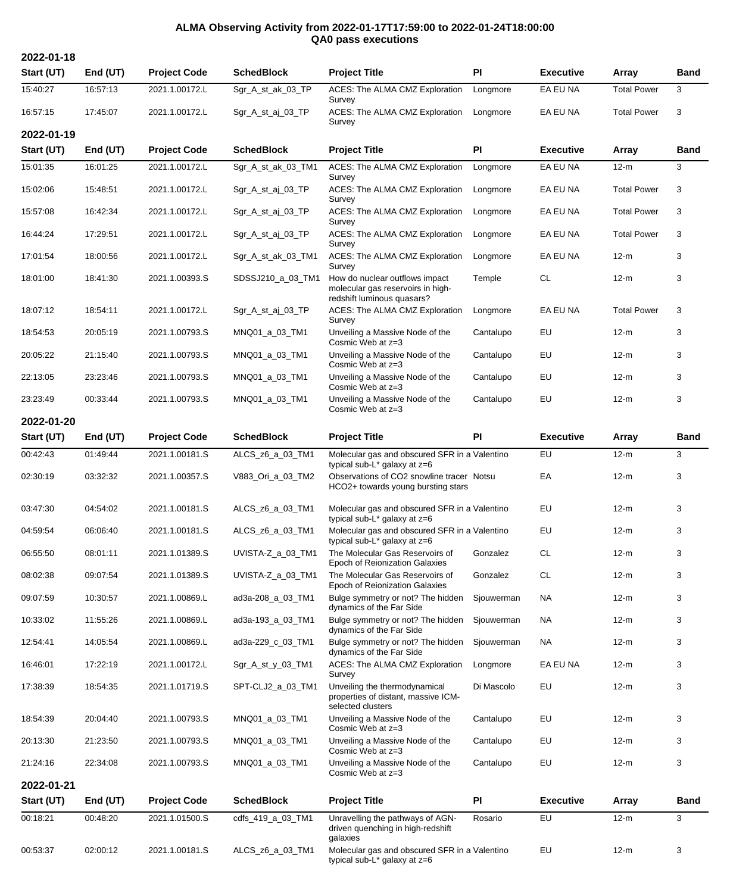## **ALMA Observing Activity from 2022-01-17T17:59:00 to 2022-01-24T18:00:00 QA0 pass executions**

**2022-01-18**

| Start (UT)               | End (UT)   | <b>Project Code</b> | <b>SchedBlock</b>  | <b>Project Title</b>                                                                              | PI         | <b>Executive</b> | Array              | <b>Band</b> |
|--------------------------|------------|---------------------|--------------------|---------------------------------------------------------------------------------------------------|------------|------------------|--------------------|-------------|
| 15:40:27                 | 16:57:13   | 2021.1.00172.L      | Sgr_A_st_ak_03_TP  | ACES: The ALMA CMZ Exploration<br>Survey                                                          | Longmore   | EA EU NA         | <b>Total Power</b> | 3           |
| 16:57:15                 | 17:45:07   | 2021.1.00172.L      | Sgr_A_st_aj_03_TP  | ACES: The ALMA CMZ Exploration<br>Survey                                                          | Longmore   | EA EU NA         | <b>Total Power</b> | 3           |
| 2022-01-19<br>Start (UT) | End (UT)   | <b>Project Code</b> | <b>SchedBlock</b>  | <b>Project Title</b>                                                                              | PI         | <b>Executive</b> | Array              | <b>Band</b> |
| 15:01:35                 | 16:01:25   | 2021.1.00172.L      | Sgr_A_st_ak_03_TM1 | ACES: The ALMA CMZ Exploration                                                                    | Longmore   | EA EU NA         | $12-m$             | 3           |
| 15:02:06                 | 15:48:51   | 2021.1.00172.L      | Sgr_A_st_aj_03_TP  | Survey<br>ACES: The ALMA CMZ Exploration                                                          | Longmore   | EA EU NA         | <b>Total Power</b> | 3           |
| 15:57:08                 | 16:42:34   | 2021.1.00172.L      | Sgr_A_st_aj_03_TP  | Survey<br>ACES: The ALMA CMZ Exploration                                                          | Longmore   | EA EU NA         | <b>Total Power</b> | 3           |
|                          |            |                     |                    | Survey                                                                                            |            |                  |                    |             |
| 16:44:24                 | 17:29:51   | 2021.1.00172.L      | Sgr_A_st_aj_03_TP  | ACES: The ALMA CMZ Exploration<br>Survey                                                          | Longmore   | EA EU NA         | <b>Total Power</b> | 3           |
| 17:01:54                 | 18:00:56   | 2021.1.00172.L      | Sgr_A_st_ak_03_TM1 | ACES: The ALMA CMZ Exploration<br>Survey                                                          | Longmore   | EA EU NA         | $12-m$             | 3           |
| 18:01:00                 | 18:41:30   | 2021.1.00393.S      | SDSSJ210_a_03_TM1  | How do nuclear outflows impact<br>molecular gas reservoirs in high-<br>redshift luminous quasars? | Temple     | <b>CL</b>        | $12-m$             | 3           |
| 18:07:12                 | 18:54:11   | 2021.1.00172.L      | Sgr_A_st_aj_03_TP  | ACES: The ALMA CMZ Exploration<br>Survey                                                          | Longmore   | EA EU NA         | <b>Total Power</b> | 3           |
| 18:54:53                 | 20:05:19   | 2021.1.00793.S      | MNQ01_a_03_TM1     | Unveiling a Massive Node of the<br>Cosmic Web at z=3                                              | Cantalupo  | EU               | $12-m$             | 3           |
| 20:05:22                 | 21:15:40   | 2021.1.00793.S      | MNQ01 a 03 TM1     | Unveiling a Massive Node of the<br>Cosmic Web at z=3                                              | Cantalupo  | EU               | $12-m$             | 3           |
| 22:13:05                 | 23:23:46   | 2021.1.00793.S      | MNQ01_a_03_TM1     | Unveiling a Massive Node of the<br>Cosmic Web at z=3                                              | Cantalupo  | EU               | $12-m$             | 3           |
| 23:23:49                 | 00:33:44   | 2021.1.00793.S      | MNQ01_a_03_TM1     | Unveiling a Massive Node of the<br>Cosmic Web at z=3                                              | Cantalupo  | EU               | $12-m$             | 3           |
| 2022-01-20               |            |                     |                    |                                                                                                   |            |                  |                    |             |
| Start (UT)               | End $(UT)$ | <b>Project Code</b> | <b>SchedBlock</b>  | <b>Project Title</b>                                                                              | <b>PI</b>  | <b>Executive</b> | Array              | <b>Band</b> |
| 00:42:43                 | 01:49:44   | 2021.1.00181.S      | ALCS_z6_a_03_TM1   | Molecular gas and obscured SFR in a Valentino<br>typical sub- $L^*$ galaxy at $z=6$               |            | EU               | $12-m$             | 3           |
| 02:30:19                 | 03:32:32   | 2021.1.00357.S      | V883_Ori_a_03_TM2  | Observations of CO2 snowline tracer Notsu<br>HCO2+ towards young bursting stars                   |            | EA               | $12-m$             | 3           |
| 03:47:30                 | 04:54:02   | 2021.1.00181.S      | ALCS_z6_a_03_TM1   | Molecular gas and obscured SFR in a Valentino<br>typical sub- $L^*$ galaxy at $z=6$               |            | EU               | $12-m$             | 3           |
| 04:59:54                 | 06:06:40   | 2021.1.00181.S      | ALCS_z6_a_03_TM1   | Molecular gas and obscured SFR in a Valentino<br>typical sub-L <sup>*</sup> galaxy at z=6         |            | EU               | $12-m$             | 3           |
| 06:55:50                 | 08:01:11   | 2021.1.01389.S      | UVISTA-Z_a_03_TM1  | The Molecular Gas Reservoirs of<br>Epoch of Reionization Galaxies                                 | Gonzalez   | CL               | $12-m$             | 3           |
| 08:02:38                 | 09:07:54   | 2021.1.01389.S      | UVISTA-Z_a_03_TM1  | The Molecular Gas Reservoirs of<br><b>Epoch of Reionization Galaxies</b>                          | Gonzalez   | <b>CL</b>        | $12-m$             | 3           |
| 09:07:59                 | 10:30:57   | 2021.1.00869.L      | ad3a-208_a_03_TM1  | Bulge symmetry or not? The hidden<br>dynamics of the Far Side                                     | Sjouwerman | <b>NA</b>        | $12-m$             | 3           |
| 10:33:02                 | 11:55:26   | 2021.1.00869.L      | ad3a-193_a_03_TM1  | Bulge symmetry or not? The hidden<br>dynamics of the Far Side                                     | Sjouwerman | <b>NA</b>        | $12-m$             | 3           |
| 12:54:41                 | 14:05:54   | 2021.1.00869.L      | ad3a-229_c_03_TM1  | Bulge symmetry or not? The hidden<br>dynamics of the Far Side                                     | Sjouwerman | <b>NA</b>        | $12-m$             | 3           |
| 16:46:01                 | 17:22:19   | 2021.1.00172.L      | Sgr_A_st_y_03_TM1  | ACES: The ALMA CMZ Exploration<br>Survey                                                          | Longmore   | EA EU NA         | $12-m$             | 3           |
| 17:38:39                 | 18:54:35   | 2021.1.01719.S      | SPT-CLJ2_a_03_TM1  | Unveiling the thermodynamical<br>properties of distant, massive ICM-<br>selected clusters         | Di Mascolo | EU               | $12-m$             | 3           |
| 18:54:39                 | 20:04:40   | 2021.1.00793.S      | MNQ01_a_03_TM1     | Unveiling a Massive Node of the<br>Cosmic Web at z=3                                              | Cantalupo  | EU               | $12-m$             | 3           |
| 20:13:30                 | 21:23:50   | 2021.1.00793.S      | MNQ01_a_03_TM1     | Unveiling a Massive Node of the<br>Cosmic Web at z=3                                              | Cantalupo  | EU               | $12-m$             | 3           |
| 21:24:16                 | 22:34:08   | 2021.1.00793.S      | MNQ01_a_03_TM1     | Unveiling a Massive Node of the<br>Cosmic Web at z=3                                              | Cantalupo  | EU               | $12-m$             | 3           |
| 2022-01-21               |            |                     |                    |                                                                                                   |            |                  |                    |             |
| Start (UT)               | End (UT)   | <b>Project Code</b> | <b>SchedBlock</b>  | <b>Project Title</b>                                                                              | PI         | <b>Executive</b> | Array              | <b>Band</b> |
| 00:18:21                 | 00:48:20   | 2021.1.01500.S      | cdfs_419_a_03_TM1  | Unravelling the pathways of AGN-<br>driven quenching in high-redshift<br>galaxies                 | Rosario    | EU               | $12-m$             | 3           |
| 00:53:37                 | 02:00:12   | 2021.1.00181.S      | ALCS_z6_a_03_TM1   | Molecular gas and obscured SFR in a Valentino<br>typical sub-L* galaxy at z=6                     |            | <b>EU</b>        | $12-m$             | 3           |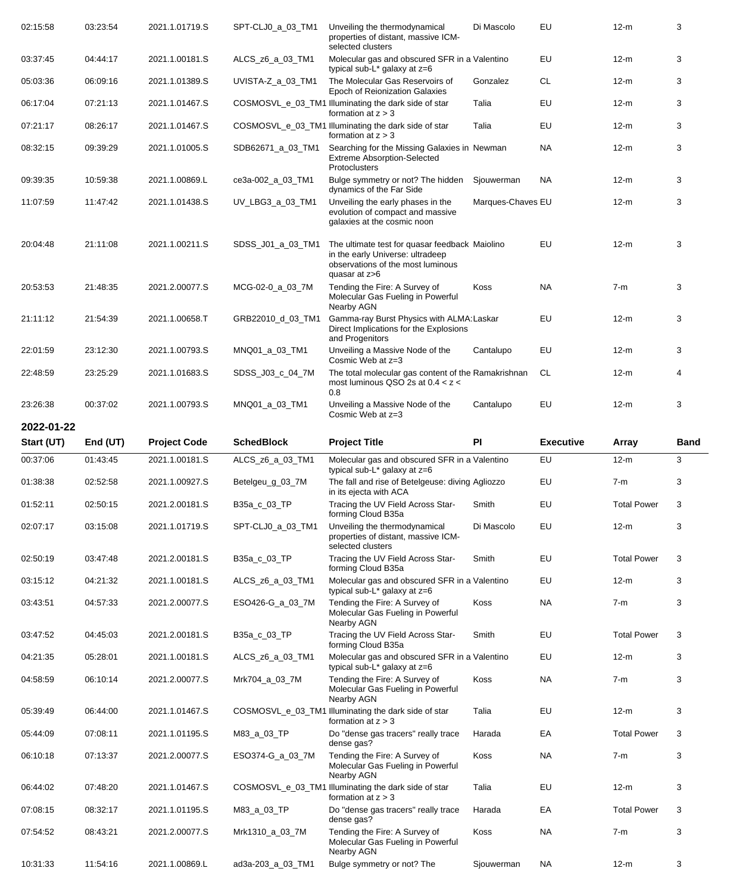| 02:15:58   | 03:23:54   | 2021.1.01719.S      | SPT-CLJ0_a_03_TM1 | Unveiling the thermodynamical<br>properties of distant, massive ICM-<br>selected clusters                                                | Di Mascolo        | EU               | $12-m$             | 3           |
|------------|------------|---------------------|-------------------|------------------------------------------------------------------------------------------------------------------------------------------|-------------------|------------------|--------------------|-------------|
| 03:37:45   | 04:44:17   | 2021.1.00181.S      | ALCS_z6_a_03_TM1  | Molecular gas and obscured SFR in a Valentino<br>typical sub-L* galaxy at z=6                                                            |                   | EU               | $12-m$             | 3           |
| 05:03:36   | 06:09:16   | 2021.1.01389.S      | UVISTA-Z_a_03_TM1 | The Molecular Gas Reservoirs of<br>Epoch of Reionization Galaxies                                                                        | Gonzalez          | CL               | 12-m               | 3           |
| 06:17:04   | 07:21:13   | 2021.1.01467.S      |                   | COSMOSVL_e_03_TM1 Illuminating the dark side of star<br>formation at $z > 3$                                                             | Talia             | EU               | $12-m$             | 3           |
| 07:21:17   | 08:26:17   | 2021.1.01467.S      |                   | COSMOSVL_e_03_TM1 Illuminating the dark side of star<br>formation at $z > 3$                                                             | Talia             | EU               | $12-m$             | 3           |
| 08:32:15   | 09:39:29   | 2021.1.01005.S      | SDB62671_a_03_TM1 | Searching for the Missing Galaxies in Newman<br><b>Extreme Absorption-Selected</b><br>Protoclusters                                      |                   | <b>NA</b>        | $12-m$             | 3           |
| 09:39:35   | 10:59:38   | 2021.1.00869.L      | ce3a-002_a_03_TM1 | Bulge symmetry or not? The hidden<br>dynamics of the Far Side                                                                            | Sjouwerman        | NA               | $12-m$             | 3           |
| 11:07:59   | 11:47:42   | 2021.1.01438.S      | UV_LBG3_a_03_TM1  | Unveiling the early phases in the<br>evolution of compact and massive<br>galaxies at the cosmic noon                                     | Marques-Chaves EU |                  | $12-m$             | 3           |
| 20:04:48   | 21:11:08   | 2021.1.00211.S      | SDSS_J01_a_03_TM1 | The ultimate test for quasar feedback Maiolino<br>in the early Universe: ultradeep<br>observations of the most luminous<br>quasar at z>6 |                   | EU               | $12-m$             | 3           |
| 20:53:53   | 21:48:35   | 2021.2.00077.S      | MCG-02-0_a_03_7M  | Tending the Fire: A Survey of<br>Molecular Gas Fueling in Powerful<br>Nearby AGN                                                         | Koss              | <b>NA</b>        | $7-m$              | 3           |
| 21:11:12   | 21:54:39   | 2021.1.00658.T      | GRB22010_d_03_TM1 | Gamma-ray Burst Physics with ALMA: Laskar<br>Direct Implications for the Explosions<br>and Progenitors                                   |                   | EU               | $12-m$             | 3           |
| 22:01:59   | 23:12:30   | 2021.1.00793.S      | MNQ01_a_03_TM1    | Unveiling a Massive Node of the<br>Cosmic Web at z=3                                                                                     | Cantalupo         | EU               | $12-m$             | 3           |
| 22:48:59   | 23:25:29   | 2021.1.01683.S      | SDSS_J03_c_04_7M  | The total molecular gas content of the Ramakrishnan<br>most luminous QSO 2s at $0.4 < z <$<br>0.8                                        |                   | CL.              | $12-m$             | 4           |
| 23:26:38   | 00:37:02   | 2021.1.00793.S      | MNQ01_a_03_TM1    | Unveiling a Massive Node of the<br>Cosmic Web at z=3                                                                                     | Cantalupo         | EU               | $12-m$             | 3           |
| 2022-01-22 |            |                     |                   |                                                                                                                                          |                   |                  |                    |             |
|            |            |                     |                   |                                                                                                                                          |                   |                  |                    |             |
| Start (UT) | End $(UT)$ | <b>Project Code</b> | <b>SchedBlock</b> | <b>Project Title</b>                                                                                                                     | <b>PI</b>         | <b>Executive</b> | <b>Array</b>       | <b>Band</b> |
| 00:37:06   | 01:43:45   | 2021.1.00181.S      | ALCS_z6_a_03_TM1  | Molecular gas and obscured SFR in a Valentino<br>typical sub-L* galaxy at z=6                                                            |                   | EU               | $12-m$             | 3           |
| 01:38:38   | 02:52:58   | 2021.1.00927.S      | Betelgeu_g_03_7M  | The fall and rise of Betelgeuse: diving Agliozzo<br>in its ejecta with ACA                                                               |                   | EU               | $7-m$              | 3           |
| 01:52:11   | 02:50:15   | 2021.2.00181.S      | B35a_c_03_TP      | Tracing the UV Field Across Star-<br>forming Cloud B35a                                                                                  | Smith             | EU               | <b>Total Power</b> | 3           |
| 02:07:17   | 03:15:08   | 2021.1.01719.S      | SPT-CLJ0_a_03_TM1 | Unveiling the thermodynamical<br>properties of distant, massive ICM-<br>selected clusters                                                | Di Mascolo        | EU               | $12-m$             | 3           |
| 02:50:19   | 03:47:48   | 2021.2.00181.S      | B35a_c_03_TP      | Tracing the UV Field Across Star-<br>forming Cloud B35a                                                                                  | Smith             | EU               | <b>Total Power</b> | 3           |
| 03:15:12   | 04:21:32   | 2021.1.00181.S      | ALCS_z6_a_03_TM1  | Molecular gas and obscured SFR in a Valentino<br>typical sub-L* galaxy at z=6                                                            |                   | EU               | $12-m$             | 3           |
| 03:43:51   | 04:57:33   | 2021.2.00077.S      | ESO426-G_a_03_7M  | Tending the Fire: A Survey of<br>Molecular Gas Fueling in Powerful<br>Nearby AGN                                                         | Koss              | <b>NA</b>        | $7-m$              | 3           |
| 03:47:52   | 04:45:03   | 2021.2.00181.S      | B35a_c_03_TP      | Tracing the UV Field Across Star-<br>forming Cloud B35a                                                                                  | Smith             | EU               | <b>Total Power</b> | 3           |
| 04:21:35   | 05:28:01   | 2021.1.00181.S      | ALCS_z6_a_03_TM1  | Molecular gas and obscured SFR in a Valentino<br>typical sub-L* galaxy at z=6                                                            |                   | EU               | $12-m$             | 3           |
| 04:58:59   | 06:10:14   | 2021.2.00077.S      | Mrk704_a_03_7M    | Tending the Fire: A Survey of<br>Molecular Gas Fueling in Powerful                                                                       | Koss              | <b>NA</b>        | $7-m$              | 3           |
| 05:39:49   | 06:44:00   | 2021.1.01467.S      |                   | Nearby AGN<br>COSMOSVL_e_03_TM1 Illuminating the dark side of star<br>formation at $z > 3$                                               | Talia             | EU               | $12-m$             | 3           |
| 05:44:09   | 07:08:11   | 2021.1.01195.S      | M83_a_03_TP       | Do "dense gas tracers" really trace                                                                                                      | Harada            | EA               | <b>Total Power</b> | 3           |
| 06:10:18   | 07:13:37   | 2021.2.00077.S      | ESO374-G_a_03_7M  | dense gas?<br>Tending the Fire: A Survey of<br>Molecular Gas Fueling in Powerful                                                         | Koss              | <b>NA</b>        | $7-m$              | 3           |
| 06:44:02   | 07:48:20   | 2021.1.01467.S      |                   | Nearby AGN<br>COSMOSVL_e_03_TM1 Illuminating the dark side of star<br>formation at $z > 3$                                               | Talia             | EU               | $12-m$             | 3           |
| 07:08:15   | 08:32:17   | 2021.1.01195.S      | M83_a_03_TP       | Do "dense gas tracers" really trace<br>dense gas?                                                                                        | Harada            | EA               | <b>Total Power</b> | 3           |
| 07:54:52   | 08:43:21   | 2021.2.00077.S      | Mrk1310_a_03_7M   | Tending the Fire: A Survey of<br>Molecular Gas Fueling in Powerful<br>Nearby AGN                                                         | Koss              | <b>NA</b>        | $7-m$              | 3           |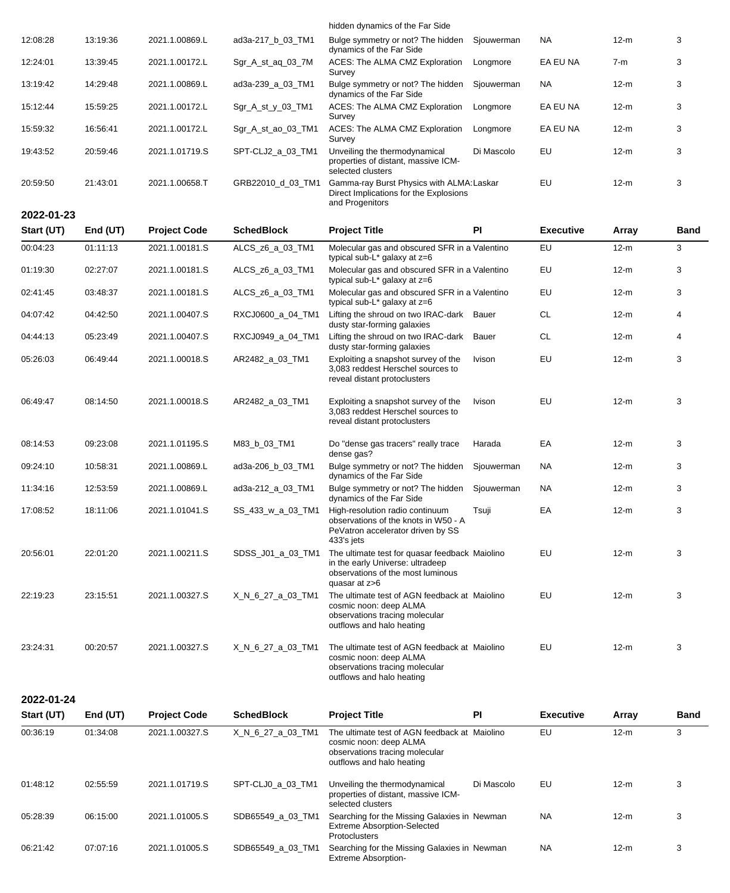|            |            |                     |                     | hidden dynamics of the Far Side                                                                                                          |            |                  |        |             |
|------------|------------|---------------------|---------------------|------------------------------------------------------------------------------------------------------------------------------------------|------------|------------------|--------|-------------|
| 12:08:28   | 13:19:36   | 2021.1.00869.L      | ad3a-217_b_03_TM1   | Bulge symmetry or not? The hidden<br>dynamics of the Far Side                                                                            | Sjouwerman | NA.              | $12-m$ | 3           |
| 12:24:01   | 13:39:45   | 2021.1.00172.L      | Sgr_A_st_aq_03_7M   | ACES: The ALMA CMZ Exploration<br>Survey                                                                                                 | Longmore   | EA EU NA         | 7-m    | 3           |
| 13:19:42   | 14:29:48   | 2021.1.00869.L      | ad3a-239_a_03_TM1   | Bulge symmetry or not? The hidden<br>dynamics of the Far Side                                                                            | Sjouwerman | NA.              | $12-m$ | 3           |
| 15:12:44   | 15:59:25   | 2021.1.00172.L      | $Sgr_A_st_y_03_TM1$ | ACES: The ALMA CMZ Exploration<br>Survey                                                                                                 | Longmore   | EA EU NA         | $12-m$ | 3           |
| 15:59:32   | 16:56:41   | 2021.1.00172.L      | Sgr_A_st_ao_03_TM1  | ACES: The ALMA CMZ Exploration<br>Survey                                                                                                 | Longmore   | EA EU NA         | $12-m$ | 3           |
| 19:43:52   | 20:59:46   | 2021.1.01719.S      | SPT-CLJ2_a_03_TM1   | Unveiling the thermodynamical<br>properties of distant, massive ICM-<br>selected clusters                                                | Di Mascolo | EU               | $12-m$ | 3           |
| 20:59:50   | 21:43:01   | 2021.1.00658.T      | GRB22010_d_03_TM1   | Gamma-ray Burst Physics with ALMA: Laskar<br>Direct Implications for the Explosions<br>and Progenitors                                   |            | EU               | $12-m$ | 3           |
| 2022-01-23 |            |                     |                     |                                                                                                                                          |            |                  |        |             |
| Start (UT) | End $(UT)$ | <b>Project Code</b> | <b>SchedBlock</b>   | <b>Project Title</b>                                                                                                                     | PI         | <b>Executive</b> | Array  | <b>Band</b> |
| 00:04:23   | 01:11:13   | 2021.1.00181.S      | ALCS_z6_a_03_TM1    | Molecular gas and obscured SFR in a Valentino<br>typical sub- $L^*$ galaxy at $z=6$                                                      |            | EU               | $12-m$ | 3           |
| 01:19:30   | 02:27:07   | 2021.1.00181.S      | ALCS_z6_a_03_TM1    | Molecular gas and obscured SFR in a Valentino<br>typical sub-L* galaxy at z=6                                                            |            | EU               | $12-m$ | 3           |
| 02:41:45   | 03:48:37   | 2021.1.00181.S      | ALCS_z6_a_03_TM1    | Molecular gas and obscured SFR in a Valentino<br>typical sub-L* galaxy at z=6                                                            |            | EU               | $12-m$ | 3           |
| 04:07:42   | 04:42:50   | 2021.1.00407.S      | RXCJ0600_a_04_TM1   | Lifting the shroud on two IRAC-dark Bauer<br>dusty star-forming galaxies                                                                 |            | <b>CL</b>        | $12-m$ | 4           |
| 04:44:13   | 05:23:49   | 2021.1.00407.S      | RXCJ0949_a_04_TM1   | Lifting the shroud on two IRAC-dark<br>dusty star-forming galaxies                                                                       | Bauer      | <b>CL</b>        | $12-m$ | 4           |
| 05:26:03   | 06:49:44   | 2021.1.00018.S      | AR2482_a_03_TM1     | Exploiting a snapshot survey of the<br>3,083 reddest Herschel sources to<br>reveal distant protoclusters                                 | Ivison     | EU               | $12-m$ | 3           |
| 06:49:47   | 08:14:50   | 2021.1.00018.S      | AR2482_a_03_TM1     | Exploiting a snapshot survey of the<br>3,083 reddest Herschel sources to<br>reveal distant protoclusters                                 | Ivison     | EU               | $12-m$ | 3           |
| 08:14:53   | 09:23:08   | 2021.1.01195.S      | M83_b_03_TM1        | Do "dense gas tracers" really trace<br>dense gas?                                                                                        | Harada     | EA               | $12-m$ | 3           |
| 09:24:10   | 10:58:31   | 2021.1.00869.L      | ad3a-206_b_03_TM1   | Bulge symmetry or not? The hidden<br>dynamics of the Far Side                                                                            | Sjouwerman | NA.              | $12-m$ | 3           |
| 11:34:16   | 12:53:59   | 2021.1.00869.L      | ad3a-212 a 03 TM1   | Bulge symmetry or not? The hidden<br>dynamics of the Far Side                                                                            | Sjouwerman | <b>NA</b>        | $12-m$ | 3           |
| 17:08:52   | 18:11:06   | 2021.1.01041.S      | SS_433_w_a_03_TM1   | High-resolution radio continuum<br>observations of the knots in W50 - A<br>PeVatron accelerator driven by SS<br>433's jets               | Tsuji      | EA               | $12-m$ | 3           |
| 20:56:01   | 22:01:20   | 2021.1.00211.S      | SDSS_J01_a_03_TM1   | The ultimate test for quasar feedback Maiolino<br>in the early Universe: ultradeep<br>observations of the most luminous<br>quasar at z>6 |            | EU               | $12-m$ | 3           |
| 22:19:23   | 23:15:51   | 2021.1.00327.S      | X_N_6_27_a_03_TM1   | The ultimate test of AGN feedback at Maiolino<br>cosmic noon: deep ALMA<br>observations tracing molecular<br>outflows and halo heating   |            | EU               | $12-m$ | 3           |
| 23:24:31   | 00:20:57   | 2021.1.00327.S      | X_N_6_27_a_03_TM1   | The ultimate test of AGN feedback at Maiolino<br>cosmic noon: deep ALMA<br>observations tracing molecular<br>outflows and halo heating   |            | EU               | $12-m$ | 3           |
| 2022-01-24 |            |                     |                     |                                                                                                                                          |            |                  |        |             |
| Start (UT) | End (UT)   | <b>Project Code</b> | <b>SchedBlock</b>   | <b>Project Title</b>                                                                                                                     | <b>PI</b>  | <b>Executive</b> | Array  | <b>Band</b> |
| 00:36:19   | 01:34:08   | 2021.1.00327.S      | X_N_6_27_a_03_TM1   | The ultimate test of AGN feedback at Maiolino<br>cosmic noon: deep ALMA<br>observations tracing molecular<br>outflows and halo heating   |            | EU               | $12-m$ | 3           |
| 01:48:12   | 02:55:59   | 2021.1.01719.S      | SPT-CLJ0_a_03_TM1   | Unveiling the thermodynamical<br>properties of distant, massive ICM-<br>selected clusters                                                | Di Mascolo | EU               | $12-m$ | 3           |

Extreme Absorption-Selected

Newman NA 12-m 3

Protoclusters

06:21:42 07:07:16 2021.1.01005.S SDB65549\_a\_03\_TM1 Searching for the Missing Galaxies in Newman NA 12-m 3 Extreme Absorption-

05:28:39 06:15:00 2021.1.01005.S SDB65549\_a\_03\_TM1 Searching for the Missing Galaxies in